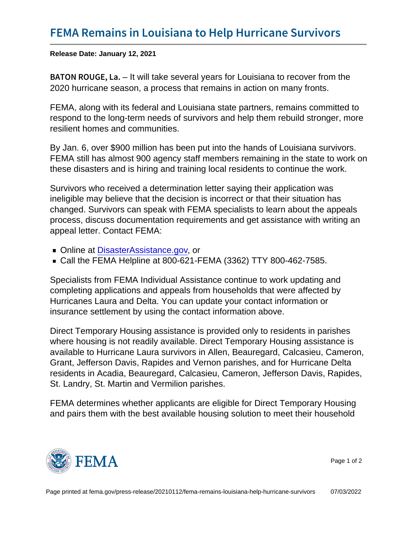Release Date: January 12, 2021

B A T O N R O U-Gt Ewill take several years for Louisiana to recover from the 2020 hurricane season, a process that remains in action on many fronts.

FEMA, along with its federal and Louisiana state partners, remains committed to respond to the long-term needs of survivors and help them rebuild stronger, more resilient homes and communities.

By Jan. 6, over \$900 million has been put into the hands of Louisiana survivors. FEMA still has almost 900 agency staff members remaining in the state to work on these disasters and is hiring and training local residents to continue the work.

Survivors who received a determination letter saying their application was ineligible may believe that the decision is incorrect or that their situation has changed. Survivors can speak with FEMA specialists to learn about the appeals process, discuss documentation requirements and get assistance with writing an appeal letter. Contact FEMA:

- Online at [DisasterAssistance.gov,](https://www.disasterassistance.gov) or
- Call the FEMA Helpline at 800-621-FEMA (3362) TTY 800-462-7585.

Specialists from FEMA Individual Assistance continue to work updating and completing applications and appeals from households that were affected by Hurricanes Laura and Delta. You can update your contact information or insurance settlement by using the contact information above.

Direct Temporary Housing assistance is provided only to residents in parishes where housing is not readily available. Direct Temporary Housing assistance is available to Hurricane Laura survivors in Allen, Beauregard, Calcasieu, Cameron, Grant, Jefferson Davis, Rapides and Vernon parishes, and for Hurricane Delta residents in Acadia, Beauregard, Calcasieu, Cameron, Jefferson Davis, Rapides, St. Landry, St. Martin and Vermilion parishes.

FEMA determines whether applicants are eligible for Direct Temporary Housing and pairs them with the best available housing solution to meet their household



Page 1 of 2